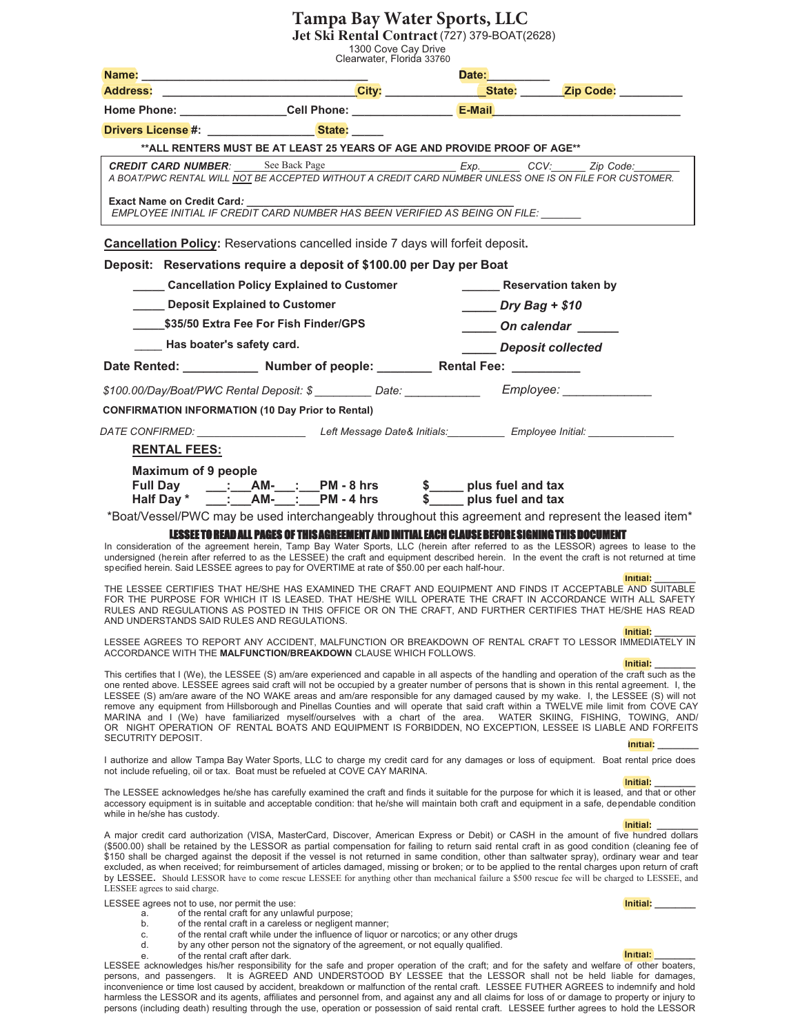## **Tampa Bay Water Sports, LLC**

**Jet Ski Rental Contract** (727) 379-BOAT(2628)

1300 Cove Cay Drive

| Clearwater, Florida 33760<br>Date: <b>Example</b><br>Name: ________ |                                                                                                                                                                                                                                                                                                                                                                                                                                                                                                                                                                                                                                                                                                                                                                                                                     |                   |                                                             |
|---------------------------------------------------------------------|---------------------------------------------------------------------------------------------------------------------------------------------------------------------------------------------------------------------------------------------------------------------------------------------------------------------------------------------------------------------------------------------------------------------------------------------------------------------------------------------------------------------------------------------------------------------------------------------------------------------------------------------------------------------------------------------------------------------------------------------------------------------------------------------------------------------|-------------------|-------------------------------------------------------------|
| <b>Address:</b>                                                     | <u>City: City: City: City: City: Chate: City: Code: City: Code: City: Code: City: Code: City: Code: City: Code: City: Code: City: Code: City: Code: City: Code: City: Code: City: City: Code: City: City: City: City: City: City</u>                                                                                                                                                                                                                                                                                                                                                                                                                                                                                                                                                                                |                   |                                                             |
|                                                                     |                                                                                                                                                                                                                                                                                                                                                                                                                                                                                                                                                                                                                                                                                                                                                                                                                     |                   |                                                             |
|                                                                     | Drivers License #: State:                                                                                                                                                                                                                                                                                                                                                                                                                                                                                                                                                                                                                                                                                                                                                                                           |                   |                                                             |
|                                                                     | ** ALL RENTERS MUST BE AT LEAST 25 YEARS OF AGE AND PROVIDE PROOF OF AGE**                                                                                                                                                                                                                                                                                                                                                                                                                                                                                                                                                                                                                                                                                                                                          |                   |                                                             |
|                                                                     | CREDIT CARD NUMBER: See Back Page Exp. Exp. CCV: Zip Code: _____<br>A BOAT/PWC RENTAL WILL NOT BE ACCEPTED WITHOUT A CREDIT CARD NUMBER UNLESS ONE IS ON FILE FOR CUSTOMER.                                                                                                                                                                                                                                                                                                                                                                                                                                                                                                                                                                                                                                         |                   |                                                             |
| <b>Exact Name on Credit Card:</b>                                   | EMPLOYEE INITIAL IF CREDIT CARD NUMBER HAS BEEN VERIFIED AS BEING ON FILE:                                                                                                                                                                                                                                                                                                                                                                                                                                                                                                                                                                                                                                                                                                                                          |                   |                                                             |
|                                                                     | <b>Cancellation Policy:</b> Reservations cancelled inside 7 days will forfeit deposit.                                                                                                                                                                                                                                                                                                                                                                                                                                                                                                                                                                                                                                                                                                                              |                   |                                                             |
|                                                                     | Deposit: Reservations require a deposit of \$100.00 per Day per Boat                                                                                                                                                                                                                                                                                                                                                                                                                                                                                                                                                                                                                                                                                                                                                |                   |                                                             |
|                                                                     | _____ Cancellation Policy Explained to Customer                                                                                                                                                                                                                                                                                                                                                                                                                                                                                                                                                                                                                                                                                                                                                                     |                   | <b>Reservation taken by</b>                                 |
|                                                                     | Deposit Explained to Customer                                                                                                                                                                                                                                                                                                                                                                                                                                                                                                                                                                                                                                                                                                                                                                                       | $Dry Bag + $10$   |                                                             |
|                                                                     | \$35/50 Extra Fee For Fish Finder/GPS                                                                                                                                                                                                                                                                                                                                                                                                                                                                                                                                                                                                                                                                                                                                                                               |                   | On calendar ______                                          |
|                                                                     | Has boater's safety card.                                                                                                                                                                                                                                                                                                                                                                                                                                                                                                                                                                                                                                                                                                                                                                                           | Deposit collected |                                                             |
|                                                                     | Date Rented: Number of people: Rental Fee: 1991                                                                                                                                                                                                                                                                                                                                                                                                                                                                                                                                                                                                                                                                                                                                                                     |                   |                                                             |
|                                                                     | \$100.00/Day/Boat/PWC Rental Deposit: \$ __________Date: ________________Employee: _____                                                                                                                                                                                                                                                                                                                                                                                                                                                                                                                                                                                                                                                                                                                            |                   |                                                             |
|                                                                     | <b>CONFIRMATION INFORMATION (10 Day Prior to Rental)</b>                                                                                                                                                                                                                                                                                                                                                                                                                                                                                                                                                                                                                                                                                                                                                            |                   |                                                             |
|                                                                     | DATE CONFIRMED: Lett Message Date& Initials: Employee Initial:                                                                                                                                                                                                                                                                                                                                                                                                                                                                                                                                                                                                                                                                                                                                                      |                   |                                                             |
| <b>RENTAL FEES:</b>                                                 |                                                                                                                                                                                                                                                                                                                                                                                                                                                                                                                                                                                                                                                                                                                                                                                                                     |                   |                                                             |
| Maximum of 9 people                                                 |                                                                                                                                                                                                                                                                                                                                                                                                                                                                                                                                                                                                                                                                                                                                                                                                                     |                   |                                                             |
|                                                                     | *Boat/Vessel/PWC may be used interchangeably throughout this agreement and represent the leased item*                                                                                                                                                                                                                                                                                                                                                                                                                                                                                                                                                                                                                                                                                                               |                   |                                                             |
|                                                                     | LESSEE TO READ ALL PAGES OF THIS AGREEMENT AND INITIAL EACH CLAUSE BEFORE SIGNING THIS DOCUMENT<br>In consideration of the agreement herein, Tamp Bay Water Sports, LLC (herein after referred to as the LESSOR) agrees to lease to the<br>undersigned (herein after referred to as the LESSEE) the craft and equipment described herein. In the event the craft is not returned at time<br>specified herein. Said LESSEE agrees to pay for OVERTIME at rate of \$50.00 per each half-hour.                                                                                                                                                                                                                                                                                                                         |                   | Initial:                                                    |
|                                                                     | THE LESSEE CERTIFIES THAT HE/SHE HAS EXAMINED THE CRAFT AND EQUIPMENT AND FINDS IT ACCEPTABLE AND SUITABLE<br>FOR THE PURPOSE FOR WHICH IT IS LEASED. THAT HE/SHE WILL OPERATE THE CRAFT IN ACCORDANCE WITH ALL SAFETY<br>RULES AND REGULATIONS AS POSTED IN THIS OFFICE OR ON THE CRAFT, AND FURTHER CERTIFIES THAT HE/SHE HAS READ<br>AND UNDERSTANDS SAID RULES AND REGULATIONS.                                                                                                                                                                                                                                                                                                                                                                                                                                 |                   |                                                             |
|                                                                     | LESSEE AGREES TO REPORT ANY ACCIDENT, MALFUNCTION OR BREAKDOWN OF RENTAL CRAFT TO LESSOR IMMEDIATELY IN<br>ACCORDANCE WITH THE MALFUNCTION/BREAKDOWN CLAUSE WHICH FOLLOWS.                                                                                                                                                                                                                                                                                                                                                                                                                                                                                                                                                                                                                                          |                   |                                                             |
|                                                                     | This certifies that I (We), the LESSEE (S) am/are experienced and capable in all aspects of the handling and operation of the craft such as the<br>one rented above. LESSEE agrees said craft will not be occupied by a greater number of persons that is shown in this rental agreement. I, the<br>LESSEE (S) am/are aware of the NO WAKE areas and am/are responsible for any damaged caused by my wake. I, the LESSEE (S) will not<br>remove any equipment from Hillsborough and Pinellas Counties and will operate that said craft within a TWELVE mile limit from COVE CAY<br>MARINA and I (We) have familiarized myself/ourselves with a chart of the area. WATER SKIING, FISHING, TOWING, AND/<br>OR NIGHT OPERATION OF RENTAL BOATS AND EQUIPMENT IS FORBIDDEN, NO EXCEPTION, LESSEE IS LIABLE AND FORFEITS |                   | Initial:                                                    |
| SECUTRITY DEPOSIT.                                                  | I authorize and allow Tampa Bay Water Sports, LLC to charge my credit card for any damages or loss of equipment. Boat rental price does                                                                                                                                                                                                                                                                                                                                                                                                                                                                                                                                                                                                                                                                             |                   | Initial:                                                    |
|                                                                     | not include refueling, oil or tax. Boat must be refueled at COVE CAY MARINA.                                                                                                                                                                                                                                                                                                                                                                                                                                                                                                                                                                                                                                                                                                                                        |                   | Initial:                                                    |
| while in he/she has custody.                                        | The LESSEE acknowledges he/she has carefully examined the craft and finds it suitable for the purpose for which it is leased, and that or other<br>accessory equipment is in suitable and acceptable condition: that he/she will maintain both craft and equipment in a safe, dependable condition                                                                                                                                                                                                                                                                                                                                                                                                                                                                                                                  |                   |                                                             |
| LESSEE agrees to said charge.                                       | A major credit card authorization (VISA, MasterCard, Discover, American Express or Debit) or CASH in the amount of five hundred dollars<br>(\$500.00) shall be retained by the LESSOR as partial compensation for failing to return said rental craft in as good condition (cleaning fee of<br>\$150 shall be charged against the deposit if the vessel is not returned in same condition, other than saltwater spray), ordinary wear and tear<br>excluded, as when received; for reimbursement of articles damaged, missing or broken; or to be applied to the rental charges upon return of craft<br>by LESSEE. Should LESSOR have to come rescue LESSEE for anything other than mechanical failure a \$500 rescue fee will be charged to LESSEE, and                                                             |                   | Initial:                                                    |
| LESSEE agrees not to use, nor permit the use:<br>a.<br>b.<br>C.     | of the rental craft for any unlawful purpose;<br>of the rental craft in a careless or negligent manner;<br>of the rental craft while under the influence of liquor or narcotics; or any other drugs                                                                                                                                                                                                                                                                                                                                                                                                                                                                                                                                                                                                                 |                   | Initial: <b>with a common control of the common control</b> |
| d.<br>е.                                                            | by any other person not the signatory of the agreement, or not equally qualified.<br>of the rental craft after dark.<br>LESSEE acknowledges his/her responsibility for the safe and proper operation of the craft; and for the safety and welfare of other boaters,<br>Research and personages it is ACREED AND UNDERSTOOD BY LESSEE that the LESSOR abol                                                                                                                                                                                                                                                                                                                                                                                                                                                           |                   | Initial:                                                    |

persons, and passengers. It is AGREED AND UNDERSTOOD BY LESSEE that the LESSOR shall not be held liable for damages, inconvenience or time lost caused by accident, breakdown or malfunction of the rental craft. LESSEE FUTHER AGREES to indemnify and hold harmless the LESSOR and its agents, affiliates and personnel from, and against any and all claims for loss of or damage to property or injury to persons (including death) resulting through the use, operation or possession of said rental craft. LESSEE further agrees to hold the LESSOR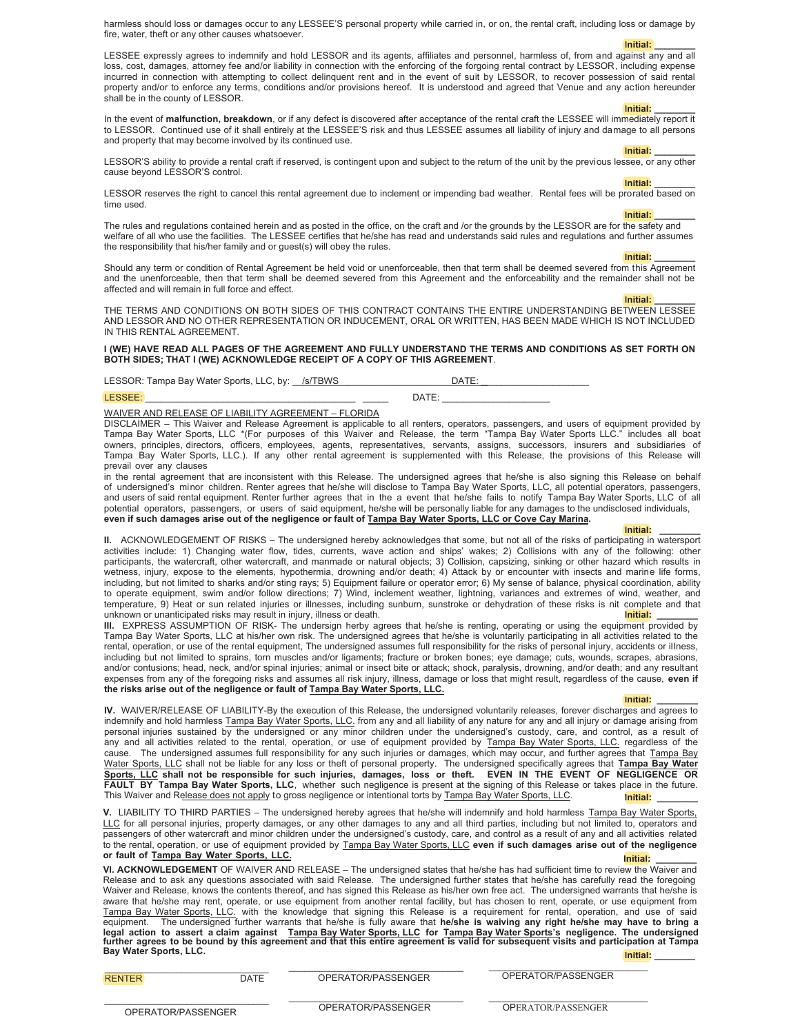harmless should loss or damages occur to any LESSEE'S personal property while carried in, or on, the rental craft, including loss or damage by fire, water, theft or any other causes whatsoever.

> **Initial: \_\_\_\_\_\_\_\_ \_**

LESSEE expressly agrees to indemnify and hold LESSOR and its agents, affiliates and personnel, harmless of, from and against any and all loss, cost, damages, attorney fee and/or liability in connection with the enforcing of the forgoing rental contract by LESSOR, including expense incurred in connection with attempting to collect delinquent rent and in the event of suit by LESSOR, to recover possession of said rental property and/or to enforce any terms, conditions and/or provisions hereof. It is understood and agreed that Venue and any action hereunder shall be in the county of LESSOR.

**Initial: \_\_\_\_\_\_\_\_ Initial:** In the event of **malfunction, breakdown**, or if any defect is discovered after acceptance of the rental craft the LESSEE will immediately report it to LESSOR. Continued use of it shall entirely at the LESSEE'S risk and thus LESSEE assumes all liability of injury and damage to all persons and property that may become involved by its continued use.

**Initial: \_\_\_\_\_\_\_\_ Initial:** LESSOR'S ability to provide a rental craft if reserved, is contingent upon and subject to the return of the unit by the previous lessee, or any other cause beyond LESSOR'S control.

**Initial: \_\_\_\_\_\_\_\_ Initial:**

LESSOR reserves the right to cancel this rental agreement due to inclement or impending bad weather. Rental fees will be prorated based on time used.

**Initial: \_\_\_\_\_\_\_\_**

The rules and regulations contained herein and as posted in the office, on the craft and /or the grounds by the LESSOR are for the safety and welfare of all who use the facilities. The LESSEE certifies that he/she has read and understands said rules and regulations and further assumes the responsibility that his/her family and or guest(s) will obey the rules.

**Initial: \_\_\_\_\_\_\_\_ Initial:**

Should any term or condition of Rental Agreement be held void or unenforceable, then that term shall be deemed severed from this Agreement and the unenforceable, then that term shall be deemed severed from this Agreement and the enforceability and the remainder shall not be affected and will remain in full force and effect.

> **Initial: \_\_\_\_\_\_\_\_ \_**

THE TERMS AND CONDITIONS ON BOTH SIDES OF THIS CONTRACT CONTAINS THE ENTIRE UNDERSTANDING BETWEEN LESSEE AND LESSOR AND NO OTHER REPRESENTATION OR INDUCEMENT, ORAL OR WRITTEN, HAS BEEN MADE WHICH IS NOT INCLUDED IN THIS RENTAL AGREEMENT.

**I (WE) HAVE READ ALL PAGES OF THE AGREEMENT AND FULLY UNDERSTAND THE TERMS AND CONDITIONS AS SET FORTH ON BOTH SIDES; THAT I (WE) ACKNOWLEDGE RECEIPT OF A COPY OF THIS AGREEMENT**.

LESSOR: Tampa Bay Water Sports, LLC, by: \_\_/s/TBWS \_\_\_\_\_\_\_\_\_\_\_\_\_\_\_\_\_\_\_\_\_\_\_DATE: \_

LESSEE: \_\_\_\_\_\_\_\_\_\_\_\_\_\_\_\_\_\_\_\_\_\_\_\_\_\_\_\_\_\_\_\_\_\_\_\_\_\_\_\_\_ \_\_\_\_\_ DATE: \_\_\_\_\_\_\_\_\_\_\_\_\_\_\_\_\_\_\_\_\_ \_

WAIVER AND RELEASE OF LIABILITY AGREEMENT – FLORIDA

DISCLAIMER – This Waiver and Release Agreement is applicable to all renters, operators, passengers, and users of equipment provided by Tampa Bay Water Sports, LLC \*(For purposes of this Waiver and Release, the term "Tampa Bay Water Sports LLC." includes all boat owners, principles, directors, officers, employees, agents, representatives, servants, assigns, successors, insurers and subsidiaries of Tampa Bay Water Sports, LLC.). If any other rental agreement is supplemented with this Release, the provisions of this Release will prevail over any clauses

in the rental agreement that are inconsistent with this Release. The undersigned agrees that he/she is also signing this Release on behalf of undersigned's minor children. Renter agrees that he/she will disclose to Tampa Bay Water Sports, LLC, all potential operators, passengers, and users of said rental equipment. Renter further agrees that in the a event that he/she fails to notify Tampa Bay Water Sports, LLC of all potential operators, passengers, or users of said equipment, he/she will be personally liable for any damages to the undisclosed individuals, even if such damages arise out of the negligence or fault of **Tampa Bay Water Sports, LLC** or Cove Cay Marina.

**Initial: \_\_\_\_\_\_\_\_ Initial: II.** ACKNOWLEDGEMENT OF RISKS – The undersigned hereby acknowledges that some, but not all of the risks of participating in watersport activities include: 1) Changing water flow, tides, currents, wave action and ships' wakes; 2) Collisions with any of the following: other participants, the watercraft, other watercraft, and manmade or natural objects; 3) Collision, capsizing, sinking or other hazard which results in wetness, injury, expose to the elements, hypothermia, drowning and/or death; 4) Attack by or encounter with insects and marine life forms, including, but not limited to sharks and/or sting rays; 5) Equipment failure or operator error; 6) My sense of balance, physical coordination, ability to operate equipment, swim and/or follow directions; 7) Wind, inclement weather, lightning, variances and extremes of wind, weather, and temperature, 9) Heat or sun related injuries or illnesses, including sunburn, sunstroke or dehydration of these risks is nit complete and that p unknown or unanticipated risks may result in injury, illness or death. **Initial:**

**III.** EXPRESS ASSUMPTION OF RISK- The undersign herby agrees that he/she is renting, operating or using the equipment provided by Tampa Bay Water Sports, LLC at his/her own risk. The undersigned agrees that he/she is voluntarily participating in all activities related to the rental, operation, or use of the rental equipment, The undersigned assumes full responsibility for the risks of personal injury, accidents or illness, including but not limited to sprains, torn muscles and/or ligaments; fracture or broken bones; eye damage; cuts, wounds, scrapes, abrasions, and/or contusions; head, neck, and/or spinal injuries; animal or insect bite or attack; shock, paralysis, drowning, and/or death; and any resultant expenses from any of the foregoing risks and assumes all risk injury, illness, damage or loss that might result, regardless of the cause, **even if** the risks arise out of the negligence or fault of **Tampa Bay Water Sports, LLC.** 

#### **Initial: \_\_\_\_\_\_\_\_ Initial:**

**IV.** WAIVER/RELEASE OF LIABILITY-By the execution of this Release, the undersigned voluntarily releases, forever discharges and agrees to indemnify and hold harmless Tampa Bay Water Sports, LLC. from any and all liability of any nature for any and all injury or damage arising from personal injuries sustained by the undersigned or any minor children under the undersigned's custody, care, and control, as a result of any and all activities related to the rental, operation, or use of equipment provided by Tampa Bay Water Sports, LLC. regardless of the cause. The undersigned assumes full responsibility for any such injuries or damages, which may occur, and further agrees that Tampa Bay Water Sports, LLC shall not be liable for any loss or theft of personal property. The undersigned specifically agrees that Tampa Bay Water Sports, LLC shall not be responsible for such injuries, damages, loss or theft. EVEN IN THE EVENT OF NEGLIGENCE OR FAULT BY Tampa Bay Water Sports, LLC, whether such negligence is present at the signing of this Release or takes place in the future. This Waiver and Release does not apply to gross negligence or intentional torts by Tampa Bay Water Sports, LLC. **Initial:**

V. LIABILITY TO THIRD PARTIES – The undersigned hereby agrees that he/she will indemnify and hold harmless Tampa Bay Water Sports. LLC for all personal injuries, property damages, or any other damages to any and all third parties, including but not limited to, operators and passengers of other watercraft and minor children under the undersigned's custody, care, and control as a result of any and all activities related to the rental, operation, or use of equipment provided by Tampa Bay Water Sports, LLC even if such damages arise out of the negligence or fault of **Tampa Bay Water Sports**, LLC. **Initial:**

**VI. ACKNOWLEDGEMENT** OF WAIVER AND RELEASE – The undersigned states that he/she has had sufficient time to review the Waiver and Release and to ask any questions associated with said Release. The undersigned further states that he/she has carefully read the foregoing Waiver and Release, knows the contents thereof, and has signed this Release as his/her own free act. The undersigned warrants that he/she is aware that he/she may rent, operate, or use equipment from another rental facility, but has chosen to rent, operate, or use equipment from Tampa Bay Water Sports, LLC. with the knowledge that signing this Release is a requirement for rental, operation, and use of said equipment. The undersigned further warrants that he/she is fully aware that **he/she is waiving any right he/she may have to bring a** legal action to assert a claim against <u>Tampa Bay Water Sports, LLC</u> for <u>Tampa Bay Water Sports's</u> negligence. The undersigned<br>further agrees to be bound by this agreement and that this entire agreement is valid for subse **Initial:**

| <b>RENTER</b>      | OPERATOR/PASSENGER<br>DATF |                    | OPERATOR/PASSENGER        |  |  |
|--------------------|----------------------------|--------------------|---------------------------|--|--|
| OPERATOR/PASSENGER |                            | OPERATOR/PASSENGER | <b>OPERATOR/PASSENGER</b> |  |  |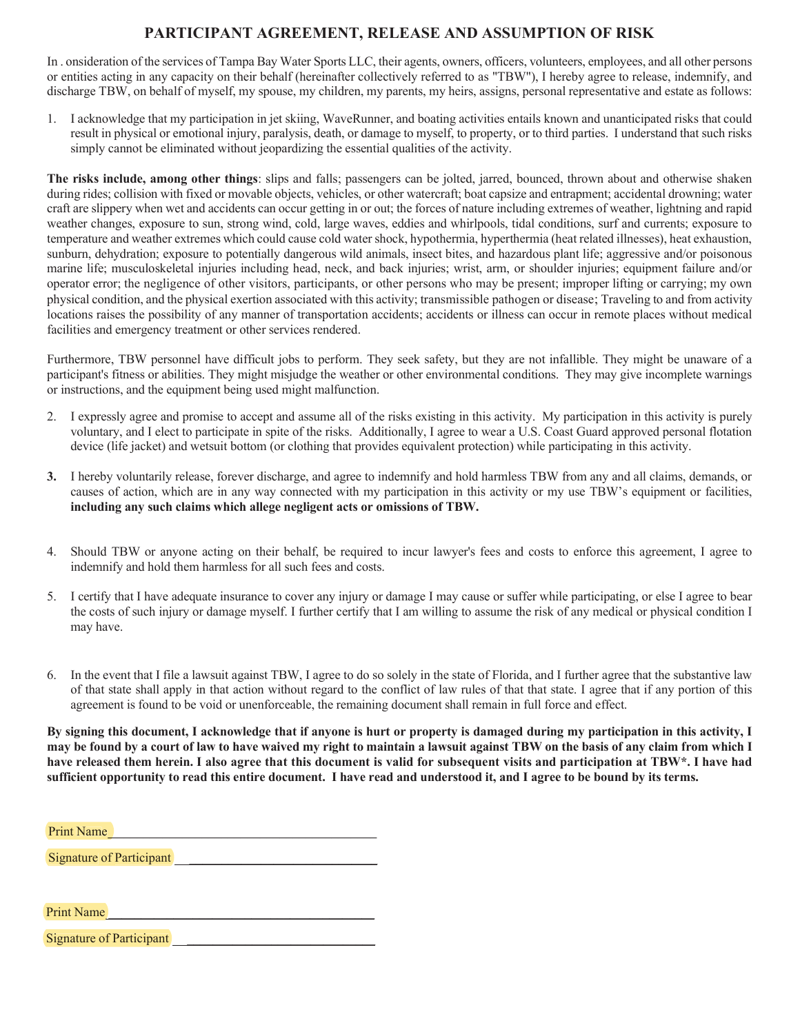### **PARTICIPANT AGREEMENT, RELEASE AND ASSUMPTION OF RISK**

In onsideration of the services of Tampa Bay Water Sports LLC, their agents, owners, officers, volunteers, employees, and all other persons or entities acting in any capacity on their behalf (hereinafter collectively referred to as "TBW"), I hereby agree to release, indemnify, and discharge TBW, on behalf of myself, my spouse, my children, my parents, my heirs, assigns, personal representative and estate as follows:

1. I acknowledge that my participation in jet skiing, WaveRunner, and boating activities entails known and unanticipated risks that could result in physical or emotional injury, paralysis, death, or damage to myself, to property, or to third parties. I understand that such risks simply cannot be eliminated without jeopardizing the essential qualities of the activity.

The risks include, among other things: slips and falls; passengers can be jolted, jarred, bounced, thrown about and otherwise shaken during rides; collision with fixed or movable objects, vehicles, or other watercraft; boat capsize and entrapment; accidental drowning; water craft are slippery when wet and accidents can occur getting in or out; the forces of nature including extremes of weather, lightning and rapid weather changes, exposure to sun, strong wind, cold, large waves, eddies and whirlpools, tidal conditions, surf and currents; exposure to temperature and weather extremes which could cause cold water shock, hypothermia, hyperthermia (heat related illnesses), heat exhaustion, sunburn, dehydration; exposure to potentially dangerous wild animals, insect bites, and hazardous plant life; aggressive and/or poisonous marine life; musculoskeletal injuries including head, neck, and back injuries; wrist, arm, or shoulder injuries; equipment failure and/or operator error; the negligence of other visitors, participants, or other persons who may be present; improper lifting or carrying; my own physical condition, and the physical exertion associated with this activity; transmissible pathogen or disease; Traveling to and from activity locations raises the possibility of any manner of transportation accidents; accidents or illness can occur in remote places without medical facilities and emergency treatment or other services rendered.

Furthermore, TBW personnel have difficult jobs to perform. They seek safety, but they are not infallible. They might be unaware of a participant's fitness or abilities. They might misjudge the weather or other environmental conditions. They may give incomplete warnings or instructions, and the equipment being used might malfunction.

- 2. I expressly agree and promise to accept and assume all of the risks existing in this activity. My participation in this activity is purely voluntary, and I elect to participate in spite of the risks. Additionally, I agree to wear a U.S. Coast Guard approved personal flotation device (life jacket) and wetsuit bottom (or clothing that provides equivalent protection) while participating in this activity.
- **3.** I hereby voluntarily release, forever discharge, and agree to indemnify and hold harmless TBW from any and all claims, demands, or causes of action, which are in any way connected with my participation in this activity or my use TBW's equipment or facilities, **including any such claims which allege negligent acts or omissions of TBW.**
- 4. Should TBW or anyone acting on their behalf, be required to incur lawyer's fees and costs to enforce this agreement, I agree to indemnify and hold them harmless for all such fees and costs
- 5. I certify that I have adequate insurance to cover any injury or damage I may cause or suffer while participating, or else I agree to bear the costs of such injury or damage myself. I further certify that I am willing to assume the risk of any medical or physical condition I may have
- 6. In the event that I file a lawsuit against TBW, I agree to do so solely in the state of Florida, and I further agree that the substantive law of that state shall apply in that action without regard to the conflict of law rules of that that state. I agree that if any portion of this agreement is found to be void or unenforceable, the remaining document shall remain in full force and effect

**By signing this document, I acknowledge that if anyone is hurt or property is damaged during my participation in this activity, I may be found by a court of law to have waived my right to maintain a lawsuit against TBW on the basis of any claim from which I have released them herein. I also agree that this document is valid for subsequent visits and participation at TBW\*. I have had sufficient opportunity to read this entire document. I have read and understood it, and I agree to be bound by its terms.** 

| <b>Print Name</b> |  |  |  |
|-------------------|--|--|--|
|                   |  |  |  |

Signature of Participant BBBBBBBBBBBBBBBBBBBBBBBBBBBBB of

Print Name

Signature of Participant BBBBBBBBBBBBBBBBBBBBBBBBBBBBB of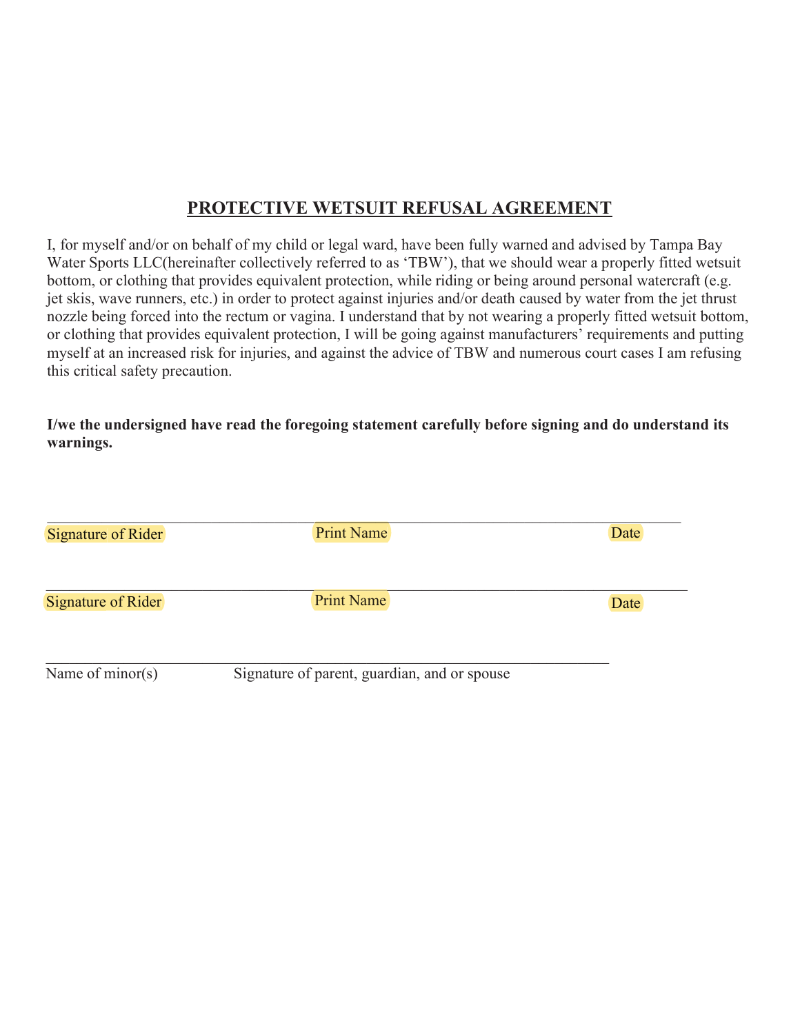# **PROTECTIVE WETSUIT REFUSAL AGREEMENT**

I, for myself and/or on behalf of my child or legal ward, have been fully warned and advised by Tampa Bay Water Sports LLC(hereinafter collectively referred to as 'TBW'), that we should wear a properly fitted wetsuit bottom, or clothing that provides equivalent protection, while riding or being around personal watercraft (e.g. jet skis, wave runners, etc.) in order to protect against injuries and/or death caused by water from the jet thrust nozzle being forced into the rectum or vagina. I understand that by not wearing a properly fitted wetsuit bottom, or clothing that provides equivalent protection, I will be going against manufacturers' requirements and putting myself at an increased risk for injuries, and against the advice of TBW and numerous court cases I am refusing this critical safety precaution.

**I/we the undersigned have read the foregoing statement carefully before signing and do understand its warnings.** 

| <b>Signature of Rider</b> | <b>Print Name</b>                            | Date |
|---------------------------|----------------------------------------------|------|
| <b>Signature of Rider</b> | <b>Print Name</b>                            | Date |
| Name of $minor(s)$        | Signature of parent, guardian, and or spouse |      |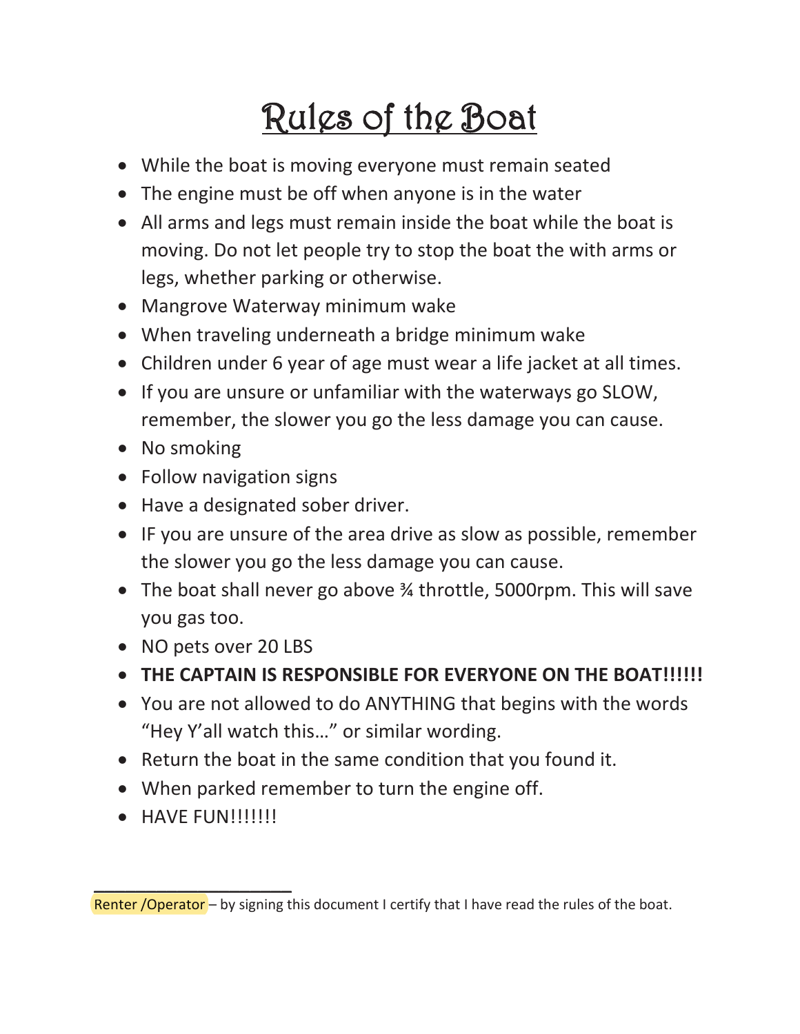# Rules of the Boat

- While the boat is moving everyone must remain seated
- The engine must be off when anyone is in the water
- All arms and legs must remain inside the boat while the boat is moving. Do not let people try to stop the boat the with arms or legs, whether parking or otherwise.
- Mangrove Waterway minimum wake
- When traveling underneath a bridge minimum wake
- Children under 6 year of age must wear a life jacket at all times.
- If you are unsure or unfamiliar with the waterways go SLOW, remember, the slower you go the less damage you can cause.
- No smoking
- Follow navigation signs
- Have a designated sober driver.
- IF you are unsure of the area drive as slow as possible, remember the slower you go the less damage you can cause.
- The boat shall never go above  $\frac{3}{4}$  throttle, 5000rpm. This will save you gas too.
- NO pets over 20 LBS
- **THE CAPTAIN IS RESPONSIBLE FOR EVERYONE ON THE BOAT!!!!!!!**
- You are not allowed to do ANYTHING that begins with the words "Hey Y'all watch this…" or similar wording.
- Return the boat in the same condition that you found it.
- When parked remember to turn the engine off.
- $\bullet$  HAVE FUN!!!!!!!!

\_\_\_\_\_\_\_\_\_\_\_\_\_\_\_\_\_\_\_

Renter / Operator – by signing this document I certify that I have read the rules of the boat.